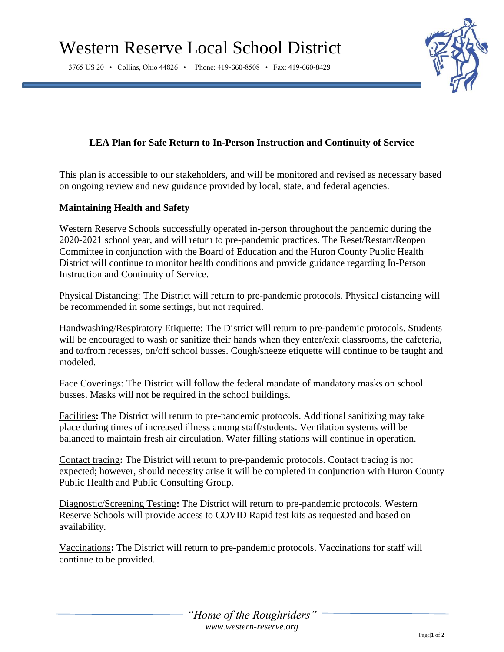3765 US 20 • Collins, Ohio 44826 • Phone: 419-660-8508 • Fax: 419-660-8429



# **LEA Plan for Safe Return to In-Person Instruction and Continuity of Service**

This plan is accessible to our stakeholders, and will be monitored and revised as necessary based on ongoing review and new guidance provided by local, state, and federal agencies.

## **Maintaining Health and Safety**

Western Reserve Schools successfully operated in-person throughout the pandemic during the 2020-2021 school year, and will return to pre-pandemic practices. The Reset/Restart/Reopen Committee in conjunction with the Board of Education and the Huron County Public Health District will continue to monitor health conditions and provide guidance regarding In-Person Instruction and Continuity of Service.

Physical Distancing: The District will return to pre-pandemic protocols. Physical distancing will be recommended in some settings, but not required.

Handwashing/Respiratory Etiquette: The District will return to pre-pandemic protocols. Students will be encouraged to wash or sanitize their hands when they enter/exit classrooms, the cafeteria, and to/from recesses, on/off school busses. Cough/sneeze etiquette will continue to be taught and modeled.

Face Coverings: The District will follow the federal mandate of mandatory masks on school busses. Masks will not be required in the school buildings.

Facilities**:** The District will return to pre-pandemic protocols. Additional sanitizing may take place during times of increased illness among staff/students. Ventilation systems will be balanced to maintain fresh air circulation. Water filling stations will continue in operation.

Contact tracing**:** The District will return to pre-pandemic protocols. Contact tracing is not expected; however, should necessity arise it will be completed in conjunction with Huron County Public Health and Public Consulting Group.

Diagnostic/Screening Testing**:** The District will return to pre-pandemic protocols. Western Reserve Schools will provide access to COVID Rapid test kits as requested and based on availability.

Vaccinations**:** The District will return to pre-pandemic protocols. Vaccinations for staff will continue to be provided.

> *"Home of the Roughriders" www.western-reserve.org*